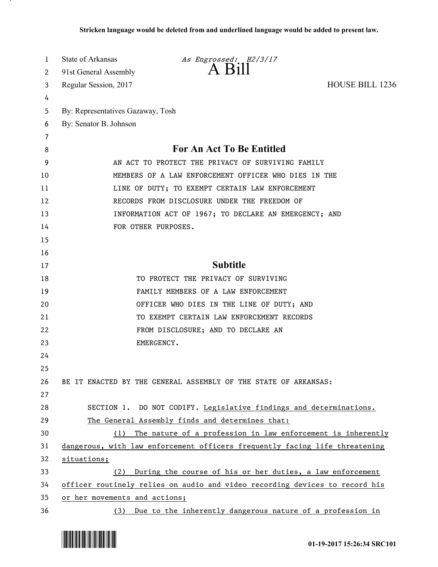| 1      | State of Arkansas                 | As Engrossed: H2/3/17                                                       |                        |
|--------|-----------------------------------|-----------------------------------------------------------------------------|------------------------|
| 2      | 91st General Assembly             | A Bill                                                                      |                        |
| 3      | Regular Session, 2017             |                                                                             | <b>HOUSE BILL 1236</b> |
| 4      |                                   |                                                                             |                        |
| 5      | By: Representatives Gazaway, Tosh |                                                                             |                        |
| 6      | By: Senator B. Johnson            |                                                                             |                        |
| 7<br>8 |                                   | <b>For An Act To Be Entitled</b>                                            |                        |
| 9      |                                   | AN ACT TO PROTECT THE PRIVACY OF SURVIVING FAMILY                           |                        |
| 10     |                                   | MEMBERS OF A LAW ENFORCEMENT OFFICER WHO DIES IN THE                        |                        |
| 11     |                                   | LINE OF DUTY; TO EXEMPT CERTAIN LAW ENFORCEMENT                             |                        |
| 12     |                                   | RECORDS FROM DISCLOSURE UNDER THE FREEDOM OF                                |                        |
| 13     |                                   | INFORMATION ACT OF 1967; TO DECLARE AN EMERGENCY; AND                       |                        |
| 14     |                                   | FOR OTHER PURPOSES.                                                         |                        |
| 15     |                                   |                                                                             |                        |
| 16     |                                   |                                                                             |                        |
| 17     |                                   | <b>Subtitle</b>                                                             |                        |
| 18     |                                   | TO PROTECT THE PRIVACY OF SURVIVING                                         |                        |
| 19     |                                   | FAMILY MEMBERS OF A LAW ENFORCEMENT                                         |                        |
| 20     |                                   | OFFICER WHO DIES IN THE LINE OF DUTY; AND                                   |                        |
| 21     |                                   | TO EXEMPT CERTAIN LAW ENFORCEMENT RECORDS                                   |                        |
| 22     |                                   | FROM DISCLOSURE; AND TO DECLARE AN                                          |                        |
| 23     |                                   | EMERGENCY.                                                                  |                        |
| 24     |                                   |                                                                             |                        |
| 25     |                                   |                                                                             |                        |
| 26     |                                   | BE IT ENACTED BY THE GENERAL ASSEMBLY OF THE STATE OF ARKANSAS:             |                        |
| 27     |                                   |                                                                             |                        |
| 28     |                                   | SECTION 1. DO NOT CODIFY. Legislative findings and determinations.          |                        |
| 29     |                                   | The General Assembly finds and determines that:                             |                        |
| 30     | (1)                               | The nature of a profession in law enforcement is inherently                 |                        |
| 31     |                                   | dangerous, with law enforcement officers frequently facing life threatening |                        |
| 32     | situations;                       |                                                                             |                        |
| 33     | (2)                               | During the course of his or her duties, a law enforcement                   |                        |
| 34     |                                   | officer routinely relies on audio and video recording devices to record his |                        |
| 35     | or her movements and actions;     |                                                                             |                        |
| 36     | (3)                               | Due to the inherently dangerous nature of a profession in                   |                        |



.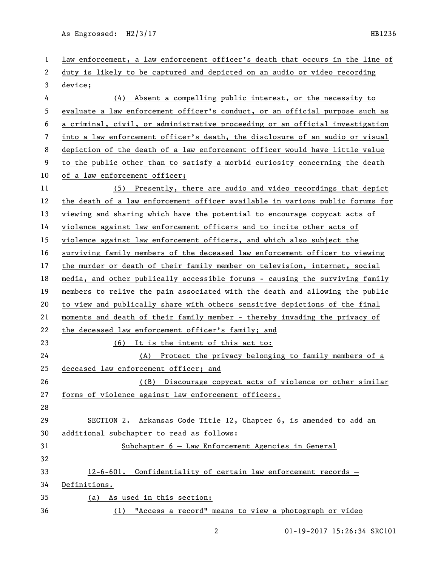| 1  | law enforcement, a law enforcement officer's death that occurs in the line of |
|----|-------------------------------------------------------------------------------|
| 2  | duty is likely to be captured and depicted on an audio or video recording     |
| 3  | device;                                                                       |
| 4  | Absent a compelling public interest, or the necessity to<br>(4)               |
| 5  | evaluate a law enforcement officer's conduct, or an official purpose such as  |
| 6  | a criminal, civil, or administrative proceeding or an official investigation  |
| 7  | into a law enforcement officer's death, the disclosure of an audio or visual  |
| 8  | depiction of the death of a law enforcement officer would have little value   |
| 9  | to the public other than to satisfy a morbid curiosity concerning the death   |
| 10 | of a law enforcement officer;                                                 |
| 11 | (5) Presently, there are audio and video recordings that depict               |
| 12 | the death of a law enforcement officer available in various public forums for |
| 13 | viewing and sharing which have the potential to encourage copycat acts of     |
| 14 | violence against law enforcement officers and to incite other acts of         |
| 15 | violence against law enforcement officers, and which also subject the         |
| 16 | surviving family members of the deceased law enforcement officer to viewing   |
| 17 | the murder or death of their family member on television, internet, social    |
| 18 | media, and other publically accessible forums - causing the surviving family  |
| 19 | members to relive the pain associated with the death and allowing the public  |
| 20 | to view and publically share with others sensitive depictions of the final    |
| 21 | moments and death of their family member - thereby invading the privacy of    |
| 22 | the deceased law enforcement officer's family; and                            |
| 23 | (6) It is the intent of this act to:                                          |
| 24 | (A) Protect the privacy belonging to family members of a                      |
| 25 | deceased law enforcement officer; and                                         |
| 26 | ((B) Discourage copycat acts of violence or other similar                     |
| 27 | forms of violence against law enforcement officers.                           |
| 28 |                                                                               |
| 29 | SECTION 2. Arkansas Code Title 12, Chapter 6, is amended to add an            |
| 30 | additional subchapter to read as follows:                                     |
| 31 | Subchapter 6 - Law Enforcement Agencies in General                            |
| 32 |                                                                               |
| 33 | 12-6-601. Confidentiality of certain law enforcement records -                |
| 34 | Definitions.                                                                  |
| 35 | (a) As used in this section:                                                  |
| 36 | "Access a record" means to view a photograph or video<br>(1)                  |
|    |                                                                               |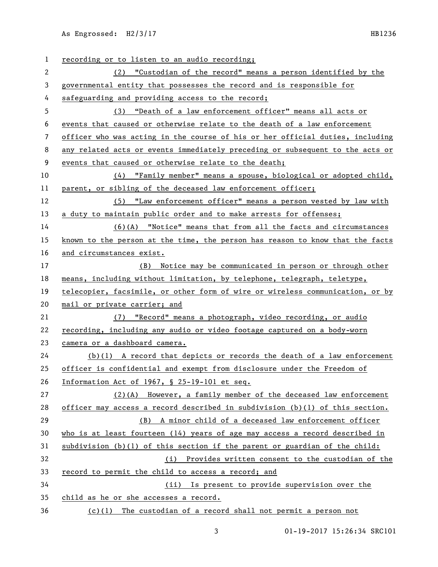| 1  | recording or to listen to an audio recording;                                  |
|----|--------------------------------------------------------------------------------|
| 2  | (2) "Custodian of the record" means a person identified by the                 |
| 3  | governmental entity that possesses the record and is responsible for           |
| 4  | safeguarding and providing access to the record;                               |
| 5  | (3) "Death of a law enforcement officer" means all acts or                     |
| 6  | events that caused or otherwise relate to the death of a law enforcement       |
| 7  | officer who was acting in the course of his or her official duties, including  |
| 8  | any related acts or events immediately preceding or subsequent to the acts or  |
| 9  | events that caused or otherwise relate to the death;                           |
| 10 | (4) "Family member" means a spouse, biological or adopted child,               |
| 11 | parent, or sibling of the deceased law enforcement officer;                    |
| 12 | (5) "Law enforcement officer" means a person vested by law with                |
| 13 | a duty to maintain public order and to make arrests for offenses;              |
| 14 | (6)(A) "Notice" means that from all the facts and circumstances                |
| 15 | known to the person at the time, the person has reason to know that the facts  |
| 16 | and circumstances exist.                                                       |
| 17 | (B) Notice may be communicated in person or through other                      |
| 18 | means, including without limitation, by telephone, telegraph, teletype,        |
| 19 | telecopier, facsimile, or other form of wire or wireless communication, or by  |
| 20 | mail or private carrier; and                                                   |
| 21 | (7) "Record" means a photograph, video recording, or audio                     |
| 22 | recording, including any audio or video footage captured on a body-worn        |
| 23 | camera or a dashboard camera.                                                  |
| 24 | $(b)(1)$ A record that depicts or records the death of a law enforcement       |
| 25 | officer is confidential and exempt from disclosure under the Freedom of        |
| 26 | Information Act of 1967, § 25-19-101 et seq.                                   |
| 27 | (2)(A) However, a family member of the deceased law enforcement                |
| 28 | officer may access a record described in subdivision $(b)(1)$ of this section. |
| 29 |                                                                                |
|    | A minor child of a deceased law enforcement officer<br>(B)                     |
| 30 | who is at least fourteen $(14)$ years of age may access a record described in  |
| 31 | subdivision (b)(l) of this section if the parent or guardian of the child:     |
| 32 | (i) Provides written consent to the custodian of the                           |
| 33 | record to permit the child to access a record; and                             |
| 34 | (ii) Is present to provide supervision over the                                |
| 35 | child as he or she accesses a record.                                          |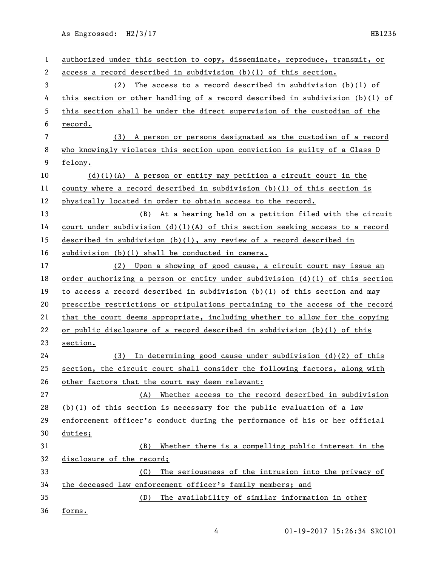| 1  | authorized under this section to copy, disseminate, reproduce, transmit, or     |
|----|---------------------------------------------------------------------------------|
| 2  | access a record described in subdivision $(b)(1)$ of this section.              |
| 3  | The access to a record described in subdivision $(b)(1)$ of<br>(2)              |
| 4  | this section or other handling of a record described in subdivision $(b)(1)$ of |
| 5  | this section shall be under the direct supervision of the custodian of the      |
| 6  | record.                                                                         |
| 7  | A person or persons designated as the custodian of a record<br>(3)              |
| 8  | who knowingly violates this section upon conviction is guilty of a Class D      |
| 9  | felony.                                                                         |
| 10 | $(d)(1)(A)$ A person or entity may petition a circuit court in the              |
| 11 | county where a record described in subdivision $(b)(1)$ of this section is      |
| 12 | physically located in order to obtain access to the record.                     |
| 13 | (B) At a hearing held on a petition filed with the circuit                      |
| 14 | court under subdivision $(d)(1)(A)$ of this section seeking access to a record  |
| 15 | described in subdivision $(b)(1)$ , any review of a record described in         |
| 16 | subdivision (b)(l) shall be conducted in camera.                                |
| 17 | Upon a showing of good cause, a circuit court may issue an<br>(2)               |
| 18 | order authorizing a person or entity under subdivision $(d)(1)$ of this section |
| 19 | to access a record described in subdivision (b)(1) of this section and may      |
| 20 | prescribe restrictions or stipulations pertaining to the access of the record   |
| 21 | that the court deems appropriate, including whether to allow for the copying    |
| 22 | or public disclosure of a record described in subdivision (b)(l) of this        |
| 23 | section.                                                                        |
| 24 | In determining good cause under subdivision $(d)(2)$ of this<br>(3)             |
| 25 | section, the circuit court shall consider the following factors, along with     |
| 26 | other factors that the court may deem relevant:                                 |
| 27 | Whether access to the record described in subdivision<br>(A)                    |
| 28 | $(b)(1)$ of this section is necessary for the public evaluation of a law        |
| 29 | enforcement officer's conduct during the performance of his or her official     |
| 30 | duties;                                                                         |
| 31 | (B)<br>Whether there is a compelling public interest in the                     |
| 32 | disclosure of the record;                                                       |
| 33 | The seriousness of the intrusion into the privacy of<br>(C)                     |
| 34 | the deceased law enforcement officer's family members; and                      |
| 35 | The availability of similar information in other<br>(D)                         |
| 36 | forms.                                                                          |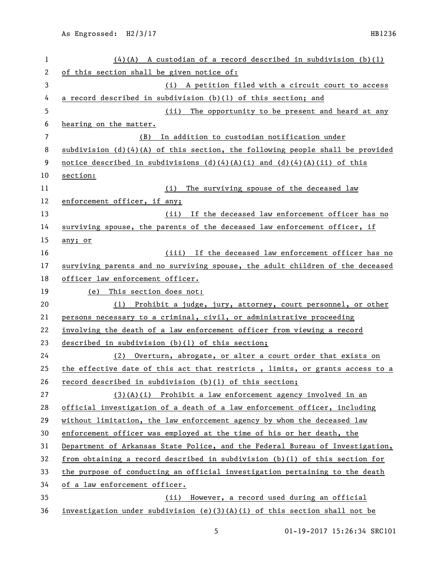| $\mathbf{1}$   | $(4)(A)$ A custodian of a record described in subdivision (b)(1)                |
|----------------|---------------------------------------------------------------------------------|
| 2              | of this section shall be given notice of:                                       |
| 3              | (i) A petition filed with a circuit court to access                             |
| 4              | a record described in subdivision $(b)(1)$ of this section; and                 |
| 5              | The opportunity to be present and heard at any<br>(iii)                         |
| 6              | hearing on the matter.                                                          |
| $\overline{7}$ | In addition to custodian notification under<br>(B)                              |
| 8              | subdivision $(d)(4)(A)$ of this section, the following people shall be provided |
| 9              | notice described in subdivisions $(d)(4)(A)(i)$ and $(d)(4)(A)(ii)$ of this     |
| 10             | section:                                                                        |
| 11             | (i) The surviving spouse of the deceased law                                    |
| 12             | enforcement officer, if any;                                                    |
| 13             | (ii) If the deceased law enforcement officer has no                             |
| 14             | surviving spouse, the parents of the deceased law enforcement officer, if       |
| 15             | any; or                                                                         |
| 16             | (iii) If the deceased law enforcement officer has no                            |
| 17             | surviving parents and no surviving spouse, the adult children of the deceased   |
| 18             | officer law enforcement officer.                                                |
| 19             | (e) This section does not:                                                      |
| 20             | (1) Prohibit a judge, jury, attorney, court personnel, or other                 |
| 21             | persons necessary to a criminal, civil, or administrative proceeding            |
| 22             | involving the death of a law enforcement officer from viewing a record          |
| 23             | described in subdivision (b)(1) of this section;                                |
| 24             | (2) Overturn, abrogate, or alter a court order that exists on                   |
| 25             | the effective date of this act that restricts, limits, or grants access to a    |
| 26             | record described in subdivision (b)(1) of this section;                         |
| 27             | $(3)(A)(i)$ Prohibit a law enforcement agency involved in an                    |
| 28             | official investigation of a death of a law enforcement officer, including       |
| 29             | without limitation, the law enforcement agency by whom the deceased law         |
| 30             | enforcement officer was employed at the time of his or her death, the           |
| 31             | Department of Arkansas State Police, and the Federal Bureau of Investigation,   |
| 32             | from obtaining a record described in subdivision (b)(1) of this section for     |
| 33             | the purpose of conducting an official investigation pertaining to the death     |
| 34             | of a law enforcement officer.                                                   |
| 35             | (ii) However, a record used during an official                                  |
| 36             | investigation under subdivision (e)(3)(A)(i) of this section shall not be       |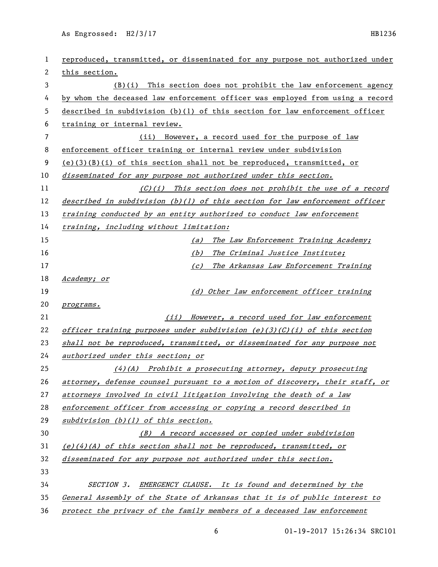| 1  | reproduced, transmitted, or disseminated for any purpose not authorized under |
|----|-------------------------------------------------------------------------------|
| 2  | this section.                                                                 |
| 3  | $(B)(i)$ This section does not prohibit the law enforcement agency            |
| 4  | by whom the deceased law enforcement officer was employed from using a record |
| 5  | described in subdivision (b)(1) of this section for law enforcement officer   |
| 6  | training or internal review.                                                  |
| 7  | However, a record used for the purpose of law<br>(ii)                         |
| 8  | enforcement officer training or internal review under subdivision             |
| 9  | $(e)(3)(B)(i)$ of this section shall not be reproduced, transmitted, or       |
| 10 | disseminated for any purpose not authorized under this section.               |
| 11 | (C)(i) This section does not prohibit the use of a record                     |
| 12 | described in subdivision $(b)(1)$ of this section for law enforcement officer |
| 13 | training conducted by an entity authorized to conduct law enforcement         |
| 14 | training, including without limitation:                                       |
| 15 | The Law Enforcement Training Academy;<br>(a)                                  |
| 16 | (b)<br>The Criminal Justice Institute;                                        |
| 17 | (c)<br>The Arkansas Law Enforcement Training                                  |
| 18 | Academy; or                                                                   |
| 19 | (d) Other law enforcement officer training                                    |
| 20 | programs.                                                                     |
| 21 | (ii) However, a record used for law enforcement                               |
| 22 | officer training purposes under subdivision (e)(3)(C)(i) of this section      |
| 23 | shall not be reproduced, transmitted, or disseminated for any purpose not     |
| 24 | authorized under this section; or                                             |
| 25 | (4) (A) Prohibit a prosecuting attorney, deputy prosecuting                   |
| 26 | attorney, defense counsel pursuant to a motion of discovery, their staff, or  |
| 27 | attorneys involved in civil litigation involving the death of a law           |
| 28 | enforcement officer from accessing or copying a record described in           |
| 29 | $subdivision (b)(1)$ of this section.                                         |
| 30 | (B) A record accessed or copied under subdivision                             |
| 31 | $(e)(4)(A)$ of this section shall not be reproduced, transmitted, or          |
| 32 | disseminated for any purpose not authorized under this section.               |
| 33 |                                                                               |
| 34 | <b>EMERGENCY CLAUSE.</b> It is found and determined by the<br>SECTION 3.      |
| 35 | General Assembly of the State of Arkansas that it is of public interest to    |
| 36 | protect the privacy of the family members of a deceased law enforcement       |